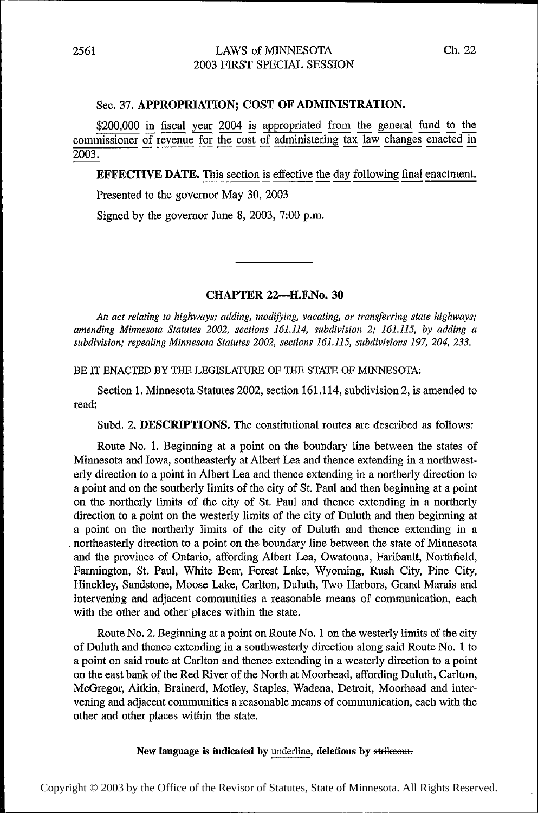## Sec. 37. APPROPRIATION; COST OF ADMINISTRATION.

\$200,000 in fiscal year 2004 is appropriated from the general fund to the commissioner of revenue for the cost of administering tax law changes enacted in 2003.

**EFFECTIVE DATE.** This section is effective the day following final enactment.

Presented to the governor May 30, 2003

Signed by the governor June 8, 2003, 7:00 p.m.

## CHAPTER 22-H.F.No. 30

An act relating to highways; adding, modifying, vacating, or transferring state highways; amending Minnesota Statutes 2002, sections 161.114, subdivision 2; 161.115, by adding a subdivision; repealing Minnesota Statutes 2002, sections 161.115, subdivisions 197, 204, 233.

BE IT ENACTED BY THE LEGISLATURE OF THE STATE OF MINNESOTA:

Section 1. Minnesota Statutes 2002, section 161.114, subdivision 2, is amended to read:

Subd. 2. DESCRIPTIONS. The constitutional routes are described as follows:

Route No. 1. Beginning at a point on the boundary line between the states of Minnesota and Iowa, southeasterly at Albert Lea and thence extending in a northwesterly direction to a point in Albert Lea and thence extending in a northerly direction to a point and on the southerly limits of the city of St. Paul and then beginning at a point on the northerly limits of the city of St. Paul and thence extending in a northerly direction to a point on the westerly limits of the city of Duluth and then beginning at a point on the northerly limits of the city of Duluth and thence extending in a \_ northeasterly direction to a point on the boundary line between the state of Minnesota and the province of Ontario, affording Albert Lea, Owatonna, Faribault, Northfleld, Farmington, St. Paul, White Bear, Forest Lake, Wyoming, Rush City, Pine City, Hinckley, Sandstone, Moose Lake, Carlton, Duluth, Two Harbors, Grand Marais and intervening and adjacent communities a reasonable means of communication, each with the other and other' places within the state.

Route No. 2. Beginning at a point on Route No. 1 on the westerly limits of the city of Duluth and thence extending in a southwesterly direction along said Route No. 1 to a point on said route at Carlton and thence extending in a westerly direction to a point on the east bank of the Red River of the North at Moorhead, afiording Duluth, Carlton, McGregor, Aitkin, Brainerd, Motley, Staples, Wadena, Detroit, Moorhead and inter~ vening and adjacent communities a reasonable means of communication, each with the other and other places within the state.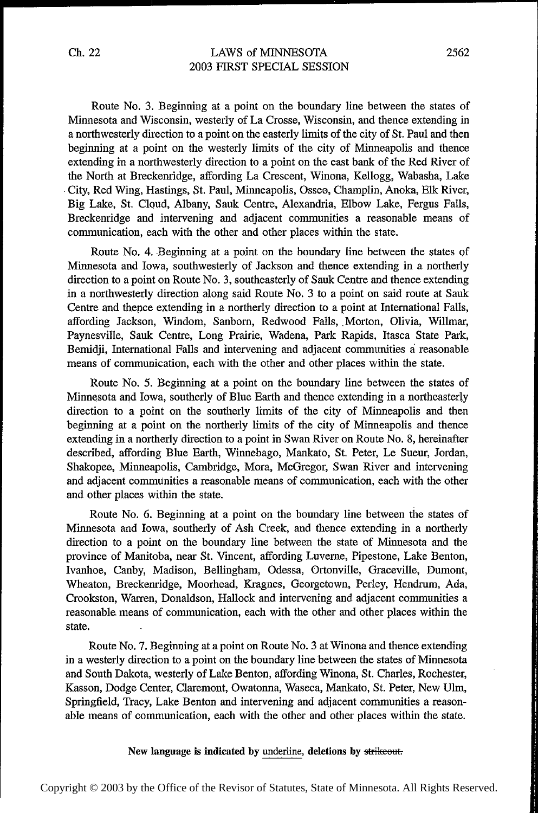## LAWS of MINNESOTA 2003 FIRST SPECIAL SESSION

Route No. 3. Beginning at a point on the boundary line between the states of Minnesota and Wisconsin, westerly of La Crosse, Wisconsin, and thence extending in a northwesterly direction to a point on the easterly limits of the city of St. Paul and then beginning at a point on the westerly limits of the city of Minneapolis and thence extending in a northwesterly direction to a point on the east bank of the Red River of the North at Breckenridge, affording La Crescent, Winona, Kellogg, Wabasha, Lake -City, Red Wing, Hastings, St. Paul, Minneapolis, Osseo, Charnplin, Anoka, Elk River, Big Lake, St. Cloud, Albany, Sauk Centre, Alexandria, Elbow Lake, Fergus Falls, Breckenridge and intervening and adjacent communities a reasonable means of communication, each with the other and other places within the state.

Route No. 4. Beginning at a point on the boundary line between the states of Minnesota and Iowa, southwesterly of Jackson and thence extending in a northerly direction to a point on Route No. 3, southeasterly of Sauk Centre and thence extending in a northwesterly direction along said Route No. 3 to a point on said route at Sauk Centre and thence extending in a northerly direction to a point at International Falls, affording Jackson, Windom, Sanborn, Redwood Falls, Morton, Olivia, Willmar, Paynesville, Sauk Centre, Long Prairie, Wadena, Park Rapids, Itasca State Park, Bemidji, International Falls and intervening and adjacent communities a reasonable means of communication, each with the other and other places within the state.

Route No. 5. Beginning at a point on the boundary line between the states of Minnesota and Iowa, southerly of Blue Earth and thence extending in a northeasterly direction to a point on the southerly limits of the city of Minneapolis and then beginning at a point on the northerly limits of the city of Minneapolis and thence extending in a northerly direction to a point in Swan River on Route No. 8, hereinafter described, affording Blue Earth, Winnebago, Mankato, St. Peter, Le Sueur, Jordan, Shakopee, Minneapolis, Cambridge, Mora, McGregor, Swan River and intervening and adjacent communities a reasonable means of communication, each with the other and other places within the state.

Route No. 6. Beginning at a point on the boundary line between the states of Minnesota and Iowa, southerly of Ash Creek, and thence extending in a northerly direction to a point on the boundary line between the state of Minnesota and the province of Manitoba, near St. Vincent, affording Luverne, Pipestone, Lake Benton, Ivanhoe, Canby, Madison, Bellingham, Odessa, Ortonville, Graceville, Dumont, Wheaton, Breckenridge, Moorhead, Kragnes, Georgetown, Perley, Hendrum, Ada, Crookston, Warren, Donaldson, Hallock and intervening and adjacent communities a reasonable means of communication, each with the other and other places within the state.

Route No. 7. Beginning at a point on Route No. 3 at Winona and thence extending in a westerly direction to a point on the boundary line between the states of Minnesota and South Dakota, westerly of Lake Benton, affording Winona, St. Charles, Rochester, Kasson, Dodge Center, Claremont, Owatonna, Waseca, Mankato, St. Peter, New Ulm, Springfield, Tracy, Lake Benton and intervening and adjacent communities a reasonable means of communication, each with the other and other places within the state.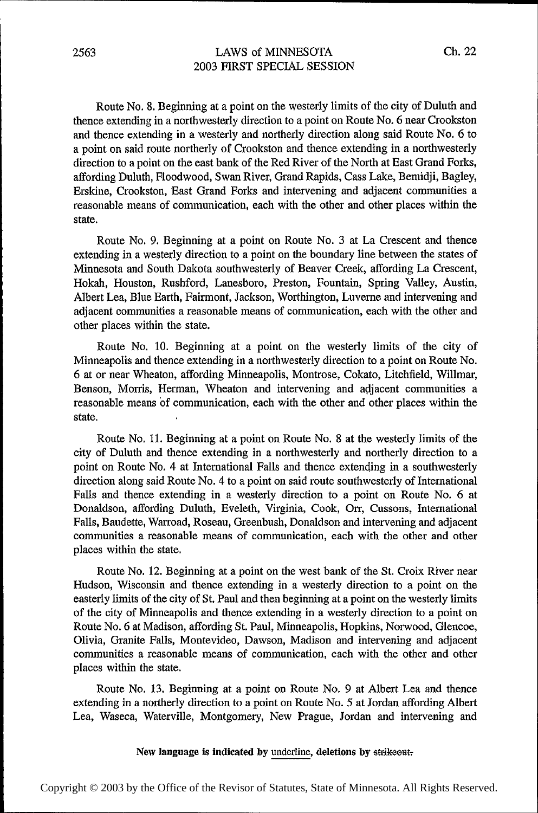Route No. 8. Beginning at a point on the westerly limits of the city of Duluth and thence extending in a northwesterly direction to a point on Route No. 6 near Crookston and thence extending in a westerly and northerly direction along said Route No. 6 to a point on said route northerly of Crookston and thence extending in a northwesterly direction to a point on the east bank of the Red River of the North at East Grand Forks, affording Duluth, Floodwood, Swan River, Grand Rapids, Cass Lake, Bemidji, Bagley, Erskine, Crookston, 'East Grand Forks and intervening and adjacent communities a reasonable means of communication, each with the other and other places within the state.

Route No. 9. Beginning at a point on Route No. 3 at La Crescent and thence extending in a westerly direction to a point on the boundary line between the states of Minnesota and South Dakota southwesterly of Beaver Creek, affording La Crescent, Hokah, Houston, Rushford, Lanesboro, Preston, Fountain, Spring Valley, Austin, Albert Lea, Blue Earth, Fairmont, Jackson, Worthington, Luverne and intervening and adjacent communities a reasonable means of communication, each with the other and other places within the state.

Route No. 10. Beginning at a point on the westerly limits of the city of Minneapolis and thence extending in a northwesterly direction to a point on Route No. 6 at or near Wheaton, affording Minneapolis, Montrose, Cokato, Litchfield, Willmar, Benson, Morris, Herman, Wheaton and intervening and adjacent communities a reasonable means of communication, each with the other and other places within the state.

Route No. 11. Beginning at a point on Route No. 8 at the westerly limits of the city of Duluth and thence extending in a northwesterly and northerly direction to a point on Route No. 4 at International Falls and thence extending in a southwesterly direction along said Route No. 4 to a point on said route southwesterly of International Falls and thence extending in a westerly direction to a point on Route No. 6 at Donaldson, affording Duluth, Eveleth, Virginia, Cook, Orr, Cussons, International Falls, Baudette, Warroad, Roseau, Greenbush, Donaldson and intervening and adjacent communities a reasonable means of communication, each with the other and other places within the state.

Route No. 12. Beginning at a point on the west bank of the St. Croix River near Hudson, Wisconsin and thence extending in a westerly direction to a point on the easterly limits of the city of St. Paul and then beginning at a point on the westerly limits of the city of Minneapolis and thence extending in a westerly direction to a point on Route No. 6 at Madison, affording St. Paul, Minneapolis, Hopkins, Norwood, Glencoe, Olivia, Granite Falls, Montevideo, Dawson, Madison and intervening and adjacent communities a reasonable means of communication, each with the other and other places within the state.

Route No. 13. Beginning at a point on Route No. 9 at Albert Lea and thence extending in a northerly direction to a point on Route No. 5 at Jordan affording Albert Lea, Waseca, Waterville, Montgomery, New Prague, Jordan and intervening and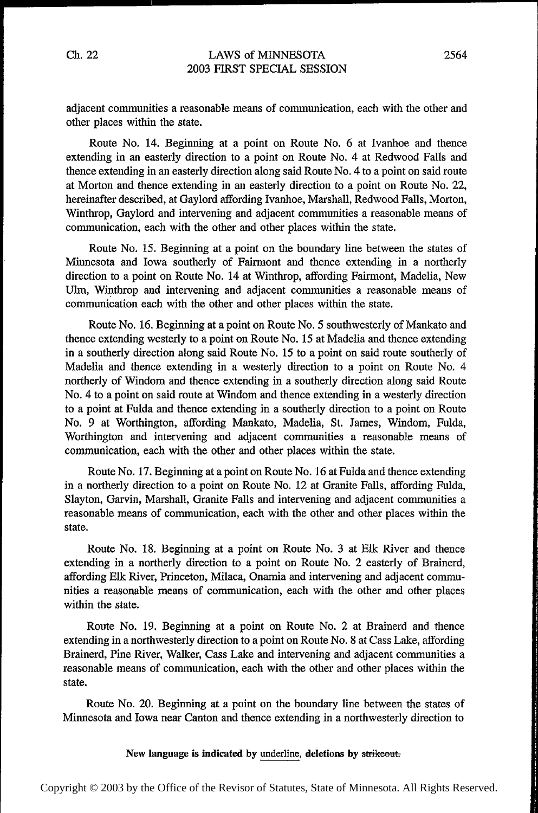## LAWS of MINNESOTA 2003 FIRST SPECIAL SESSION

adjacent communities a reasonable means of communication, each with the other and other places within the state.

Route No. 14. Beginning at a point on Route No. 6 at Ivanhoe and thence extending in an easterly direction to a point on Route No. 4 at Redwood Falls and thence extending in an easterly direction along said Route No. 4 to a point on said route at Morton and thence extending in an easterly direction to a point on Route No. 22, hereinafter described, at Gaylord affording Ivanhoe, Marshall, Redwood Falls, Morton, Winthrop, Gaylord and intervening and adjacent communities a reasonable means of communication, each with the other and other places within the state.

Route No. 15. Beginning at a point on the boundary line between the states of Minnesota and Iowa southerly of Fairmont and thence extending in a northerly direction to a point on Route No. 14 at Winthrop, affording Fairmont, Madelia, New Ulm, Winthrop and intervening and adjacent communities a reasonable means of communication each with the other and other places within the state.

Route No. 16. Beginning at a point on Route No. 5 southwesterly of Mankato and thence extending westerly to a point on Route No. 15 at Madelia and thence extending in a southerly direction along said Route No. 15 to a point on said route southerly of Madelia and thence extending in a westerly direction to a point on Route No. 4 northerly of Windom and thence extending in a southerly direction along said Route No. 4 to a point on said route at Windom and thence extending in a westerly direction to a point at Fulda and thence extending in a southerly direction to a point on Route No. 9 at Worthington, aifording Mankato, Madelia, St. James, Windom, Fulda, Worthington and intervening and adjacent communities a reasonable means of communication, each with the other and other places within the state.

Route No. 17. Beginning at a point on Route No. 16 at Fulda and thence extending in a northerly direction to a point on Route No. 12 at Granite Falls, affording Fulda, Slayton, Garvin, Marshall, Granite Falls and intervening and adjacent communities a reasonable means of communication, each with the other and other places within the state.

Route No. 18. Beginning at a point on Route No. 3 at Elk River and thence extending in a northerly direction to a point on Route No. 2 easterly of Brainerd, affording Elk River, Princeton, Milaca, Onamia and intervening and adjacent communities a reasonable means of communication, each with the other and other places within the state.

Route No. 19. Beginning at a point on Route No. 2 at Brainerd and thence extending in a northwesterly direction to a point on Route No. 8 at Cass Lake, affording Brainerd, Pine River, Walker, Cass Lake and intervening and adjacent communities a reasonable means of communication, each with the other and other places within the state.

Route No. 20. Beginning at a point on the boundary line between the states of Minnesota and Iowa near Canton and thence extending in a northwesterly direction to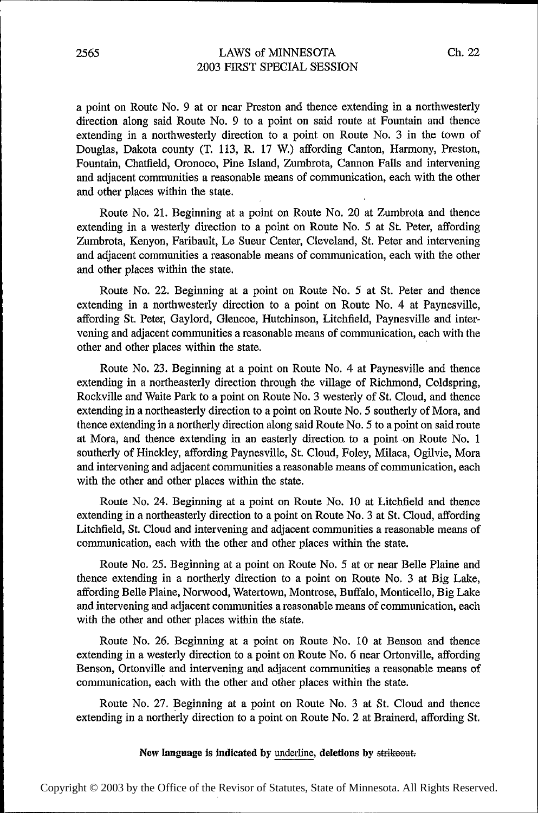a point on Route No. 9 at or near Preston and thence extending in a northwesterly direction along said Route No. 9 to a point on said route at Fountain and thence extending in a northwesterly direction to a point on Route No. 3 in the town of Douglas, Dakota county (T. 113, R. 17 W.) affording Canton, Harmony, Preston, Fountain, Chatfield, Oronoco, Pine Island, Zumbrota, Cannon Falls and intervening and adjacent communities a reasonable means of communication, each with the other and other places within the state.

Route No. 21. Beginning at a point on Route No. 20 at Zumbrota and thence extending in a westerly direction to a point on Route No. 5 at St. Peter, affording Zumbrota, Kenyon, Faribault, Le Sueur Center, Cleveland, St. Peter and intervening and adjacent communities a reasonable means of communication, each with the other and other places within the state.

Route No. 22. Beginning at a point on Route No. 5 at St. Peter and thence extending in a northwesterly direction to a point on Route No. 4 at Paynesville, affording St. Peter, Gaylord, Glencoe, Hutchinson, Litchfield, Paynesville and intervening and adjacent communities a reasonable means of communication, each with the other and other places within the state.

Route No. 23. Beginning at a point on Route No. 4 at Paynesville and thence extending in a northeasterly direction through the village of Richmond, Coldspring, Rockville and Waite Park to a point on Route No. 3 westerly of St. Cloud, and thence extending in a northeasterly direction to a point on Route No. 5 southerly of Mora, and thence extending in a northerly direction along said Route No. 5 to a point on said route at Mora, and thence extending in an easterly direction to a point on Route No. <sup>1</sup> southerly of Hinckley, afiording Paynesville, St. Cloud, Foley, Milaca, Ogilvie, Mora and intervening and adjacent communities a reasonable means of communication, each with the other and other places within the state.

Route No. 24. Beginning at a point on Route No. 10 at Litchfield and thence extending in a northeasterly direction to a point on Route No. 3 at St. Cloud, affording Litchfield, St. Cloud and intervening and adjacent communities a reasonable means of communication, each with the other and other places within the state.

Route No. 25. Beginning at a point on Route No. 5 at or near Belle Plaine and thence extending in a northerly direction to a point on Route No. 3 at Big Lake, affording Belle Plaine, Norwood, Watertown, Montrose, Buffalo, Monticello, Big Lake and intervening and adjacent communities a reasonable means of communication, each with the other and other places within the state.

Route No. 26. Beginning at a point on Route No. 10 at Benson and thence extending in a westerly direction to a point on Route No. 6 near Ortonville, afiording Benson, Ortonville and intervening and adjacent communities a reasonable means of communication, each with the other and other places within the state.

Route No. 27. Beginning at a point on Route No. 3 at St. Cloud and thence extending in a northerly direction to a point on Route No. 2 at Brainerd, afiording St.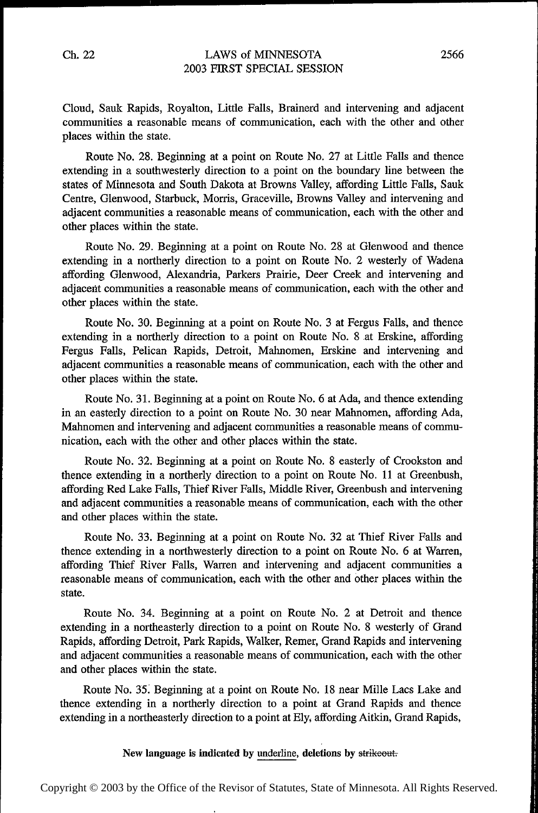## LAWS of MINNESOTA 2003 FIRST SPECIAL SESSION

Cloud, Sauk Rapids, Royalton, Little Falls, Brainerd and intervening and adjacent communities a reasonable means of communication, each with the other and other places within the state.

Route No. 28. Beginning at a point on Route No. 27 at Little Falls and thence extending in a southwesterly direction to a point on the boundary line between the states of Minnesota and South Dakota at Browns Valley, affording Little Falls, Sauk Centre, Glenwood, Starbuck, Morris, Graceville, Browns Valley and intervening and adjacent communities a reasonable means of communication, each with the other and other places within the state.

Route No. 29. Beginning at a point on Route No. 28 at Glenwood and thence extending in a northerly direction to a point on Route No. 2 westerly of Wadena affording Glenwood, Alexandria, Parkers Prairie, Deer Creek and intervening and adjacent communities a reasonable means of communication, each with the other and other places within the state.

Route No. 30. Beginning at a point on Route No. 3 at Fergus Falls, and thence extending in a northerly direction to a point on Route No. 8 at Erskine, affording Fergus Falls, Pelican Rapids, Detroit, Mahnomen, Erskine and intervening and adjacent communities a reasonable means of communication, each with the other and other places within the state.

Route No. 31. Beginning at a point on Route No. 6 at Ada, and thence extending in an easterly direction to a point on Route No. 30 near Mahnomen, affording Ada, Mahnomen and intervening and adjacent communities a reasonable means of communication, each with the other and other places within the state.

Route No. 32. Beginning at a point on Route No. 8 easterly of Crookston and thence extending in a northerly direction to a point on Route No. 11 at Greenbush, afiording Red Lake Falls, Thief River Falls, Middle River, Greenbush and intervening and adjacent communities a reasonable means of communication, each with the other and other places within the state.

Route No. 33. Beginning at a point on Route No. 32 at Thief River Falls and thence extending in a northwesterly direction to a point on Route No. 6 at Warren, affording Thief River Falls, Warren and intervening and adjacent communities a reasonable means of communication, each with the other and other places within the state.

Route No. 34. Beginning at a point on Route No. 2 at Detroit and thence extending in a northeasterly direction to a point on Route No. 8 westerly of Grand Rapids, aifording Detroit, Park Rapids, Walker, Remer, Grand Rapids and intervening and adjacent communities a reasonable means of communication, each with the other and other places within the state.

Route No. 35. Beginning at a point on Route No. 18 near Mille Lacs Lake and thence extending in a northerly direction to a point at Grand Rapids and thence extending in a northeasterly direction to a point at Ely, affording Aitkin, Grand Rapids,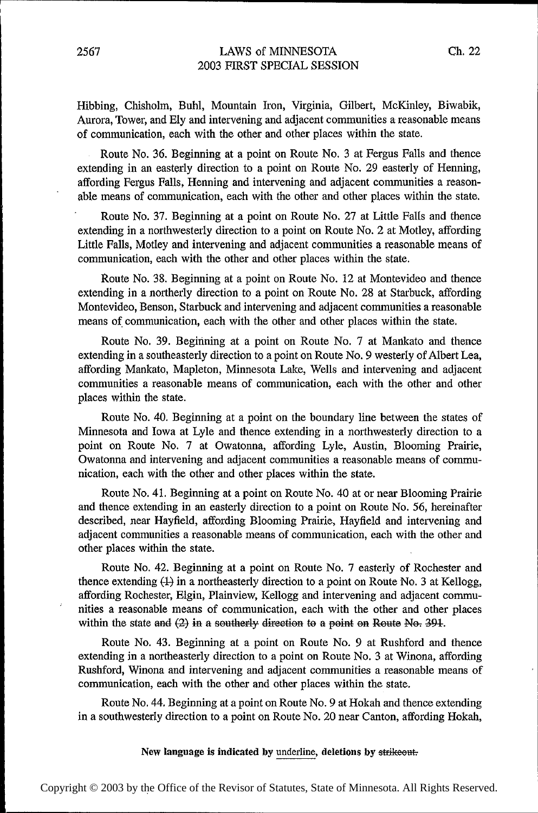Hibbing, Chisholm, Buhl, Mountain Iron, Virginia, Gilbert, McKinley, Biwabik, Aurora, Tower, and Ely and intervening and adjacent communities a reasonable means of communication, each with the other and other places within the state.

Route No. 36. Beginning at a point on Route No. 3 at Fergus Falls and thence extending in an easterly direction to a point on Route No. 29 easterly of Henning, affording Fergus Falls, Henning and intervening and adjacent communities a reasonable means of communication, each with the other and other places within the state.

Route No. 37. Beginning at a point on Route No. 27 at Little Falls and thence extending in a northwesterly direction to a point on Route No. 2 at Motley, affording Little Falls, Motley and intervening and adjacent communities a reasonable means of communication, each with the other and other places within the state.

Route No. 38. Beginning at a point on Route No. 12 at Montevideo and thence extending in a northerly direction to a point on Route No. 28 at Starbuck, affording Montevideo, Benson, Starbuck and intervening and adjacent communities a reasonable means of communication, each with the other and other places within the state.

Route No. 39. Beginning at a point on Route No. 7 at Mankato and thence extending in a southeasterly direction to a point on Route No. 9 westerly of Albert Lea, affording Mankato, Mapleton, Minnesota Lake, Wells and intervening and adjacent communities a reasonable means of communication, each with the other and other places within the state.

Route No. 40. Beginning at a point on the boundary line between the states of Minnesota and Iowa at Lyle and thence extending in a northwesterly direction to a point on Route No. 7 at Owatonna, affording Lyle, Austin, Blooming Prairie, Owatonna and intervening and adjacent communities a reasonable means of communication, each with the other and other places within the state.

Route No. 41. Beginning at a point on Route No. 40 at or near Blooming Prairie and thence extending in an easterly direction to a point on Route No. 56, hereinafter described, near Hayfield, aifording Blooming Prairie, Hayfield and intervening and adjacent communities a reasonable means of communication, each with the other and other places within the state.

Route No. 42. Beginning at a point on Route No. 7 easterly of Rochester and thence extending  $(1)$  in a northeasterly direction to a point on Route No. 3 at Kellogg, affording Rochester, Elgin, Plainview, Kellogg and intervening and adjacent communities a reasonable means of communication, each with the other and other places within the state and  $(2)$  in a southerly direction to a point on Route No. 391.

Route No. 43. Beginning at a point on Route No. 9 at Rushford and thence extending in a northeasterly direction to a point on Route No. 3 at Winona, affording Rushford, Winona and intervening and adjacent communities a reasonable means of communication, each with the other and other places within the state.

Route No. 44. Beginning at a point on Route No. 9 at Hokah and thence extending in a southwesterly direction to a point on Route No. 20 near Canton, affording Hokah,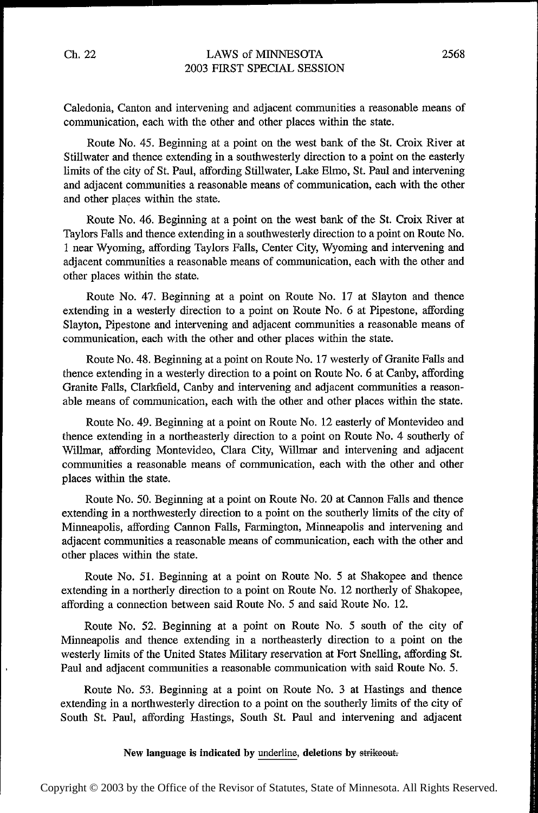Caledonia, Canton and intervening and adjacent communities a reasonable means of communication, each with the other and other places within the state.

Route No. 45. Beginning at a point on the west bank of the St. Croix River at Stillwater and thence extending in a southwesterly direction to a point on the easterly limits of the city of St. Paul, affording Stillwater, Lake Elmo, St. Paul and intervening and adjacent communities a reasonable means of communication, each with the other and other places within the state.

Route No. 46. Beginning at a point on the west bank of the St. Croix River at Taylors Falls and thence extending in a southwesterly direction to a point on Route No. <sup>1</sup>near Wyoming, affording Taylors Falls, Center City, Wyoming and intervening and adjacent communities a reasonable means of communication, each with the other and other places within the state.

Route No. 47. Beginning at a point on Route No. 17 at Slayton and thence extending in a westerly direction to a point on Route No. 6 at Pipestone, affording Slayton, Pipestone and intervening and adjacent communities a reasonable means of communication, each with the other and other places within the state.

Route N0. 48. Beginning at a point on Route No. 17 westerly of Granite Falls and thence extending in a westerly direction to a point on Route No. 6 at Canby, atfording Granite Falls, Clarkfield, Canby and intervening and adjacent communities a reasonable means of communication, each with the other and other places within the state.

Route No. 49. Beginning at a point on Route No. 12 easterly of Montevideo and thence extending in a northeasterly direction to a point on Route No. 4 southerly of Willmar, affording Montevideo, Clara City, Willmar and intervening and adjacent communities a reasonable means of communication, each with the other and other places within the state.

Route No. 50. Beginning at a point on Route No. 20 at Cannon Falls and thence extending in a northwesterly direction to a point on the southerly limits of the city of Minneapolis, affording Cannon Falls, Farmington, Minneapolis and intervening and adjacent communities a reasonable means of communication, each with the other and other places within the state.

Route No. 51. Beginning at a point on Route No. 5 at Shakopee and thence extending in a northerly direction to a point on Route No. 12 northerly of Shakopee, afiording a connection between said Route No. 5 and said Route No. 12.

Route No. 52. Beginning at a point on Route No. 5 south of the city of Minneapolis and thence extending in a northeasterly direction to a point on the westerly limits of the United States Military reservation at Fort Snelling, affording St. Paul and adjacent communities a reasonable communication with said Route No. 5.

Route No. 53. Beginning at a point on Route No. 3 at Hastings and thence extending in a northwesterly direction to a point on the southerly limits of the city of South St. Paul, alfording Hastings, South St. Paul and intervening and adjacent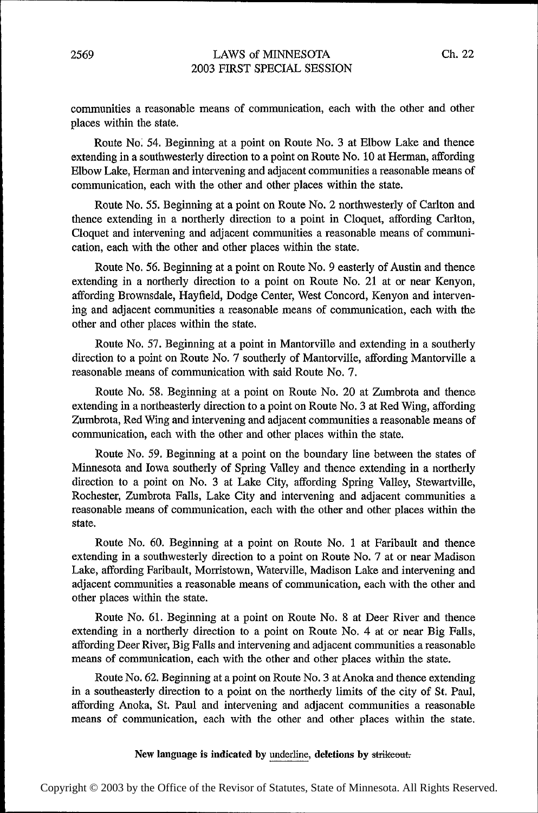communities a reasonable means of communication, each with the other and other places within the state.

Route No. 54. Beginning at a point on Route No. 3 at Elbow Lake and thence extending in a southwesterly direction to a point on Route No. 10 at Herman, affording Elbow Lake, Herman and intervening and adjacent communities a reasonable means of communication, each with the other and other places within the state.

Route No. 55. Beginning at a point on Route No. 2 northwesterly of Carlton and thence extending in a northerly direction to a point in Cloquet, affording Carlton, Cloquet and intervening and adjacent communities a reasonable means of communication, each with the other and other places within the state.

Route No. 56. Beginning at a point on Route No. 9 easterly of Austin and thence extending in a northerly direction to a point on Route No. 21 at or near Kenyon, affording Brownsdale, Hayfield, Dodge Center, West Concord, Kenyon and intervening and adjacent communities a reasonable means of communication, each with the other and other places within the state.

Route No. 57. Beginning at a point in Mantorville and extending in a southerly direction to a point on Route No. 7 southerly of Mantorville, affording Mantorville a reasonable means of communication with said Route No. 7.

Route No. 58. Beginning at a point on Route No. 20 at Zumbrota and thence extending in a northeasterly direction to a point on Route No. 3 at Red Wing, afiording Zumbrota, Red Wing and intervening and adjacent communities a reasonable means of communication, each with the other and other places within the state.

Route No. 59. Beginning at a point on the boundary line between the states of Minnesota and Iowa southerly of Spring Valley and thence extending in a northerly direction to a point on No. 3 at Lake City, affording Spring Valley, Stewartville, Rochester, Zumbrota Falls, Lake City and intervening and adjacent communities a reasonable means of communication, each with the other and other places within the state.

Route No. 60. Beginning at a point on Route No. l at Farlbault and thence extending in a southwesterly direction to a point on Route No. 7 at or near Madison Lake, affording Faribault, Morristown, Waterville, Madison Lake and intervening and adjacent communities a reasonable means of communication, each with the other and other places within the state.

Route No. 61. Beginning at a point on Route No. 8 at Deer River and thence extending in a northerly direction to a point on Route No. 4 at or near Big Falls, aifording Deer River, Big Falls and intervening and adjacent communities a reasonable means of communication, each with the other and other places within the state.

Route No. 62. Beginning at a point on Route No. 3 at Anoka and thence extending in a southeasterly direction to a point on the northerly limits of the city of St. Paul, affording Anoka, St. Paul and intervening and adjacent communities a reasonable means of communication, each with the other and other places within the state.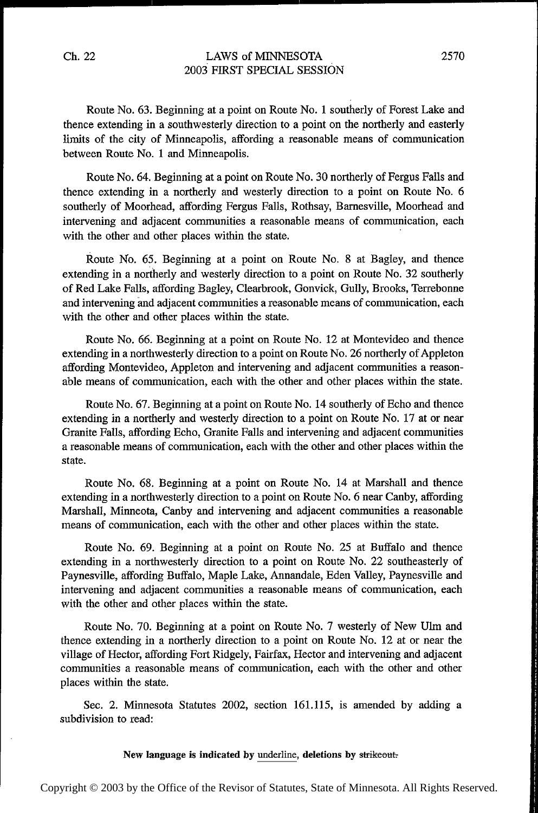Ch. 22 LAWS of MINNESOTA 2570 2003 FIRST SPECIAL SESSION

Route No. 63. Beginning at a point on Route No. 1 southerly of Forest Lake and thence extending in a southwesterly direction to a point on the northerly and easterly limits of the city of Minneapolis, affording a reasonable means of communication between Route No. 1 and Minneapolis.

Route No. 64. Beginning at a point on Route No. 30 northerly of Fergus Falls and thence extending in a northerly and westerly direction to a point on Route No. 6 southerly of Moorhead, affording Fergus Falls, Rothsay, Barnesville, Moorhead and intervening and adjacent communities a reasonable means of communication, each with the other and other places within the state.

Route No. 65. Beginning at a point on Route No. 8 at Bagley, and thence extending in a northerly and westerly direction to a point on Route No. 32 southerly of Red Lake Falls, affording Bagley, Clearbrook, Gonvick, Gully, Brooks, Terrebonne and intervening and adjacent communities a reasonable means of communication, each with the other and other places within the state.

Route No. 66. Beginning at a point on Route No. 12 at Montevideo and thence extending in a northwesterly direction to a point on Route No. 26 northerly of Appleton affording Montevideo, Appleton and intervening and adjacent communities a reasonable means of communication, each with the other and other places within the state.

Route No. 67. Beginning at a point on Route No. 14 southerly of Echo and thence extending in a northerly and westerly direction to a point on Route No. 17 at or near Granite Falls, affording Echo, Granite Falls and intervening and adjacent communities a reasonable means of communication, each with the other and other places within the state.

Route No. 68. Beginning at a point on Route No. 14 at Marshall and thence extending in a northwesterly direction to a point on Route No. 6 near Canby, affording Marshall, Minneota, Canby and intervening and adjacent communities a reasonable means of communication, each with the other and other places within the state.

Route No. 69. Beginning at a point on Route No. 25 at Bulfalo and thence extending in a northwesterly direction to a point on Route No. 22 southeasterly of Paynesville, affording Buffalo, Maple Lake, Annandale, Eden Valley, Paynesville and intervening and adjacent communities a reasonable means of communication, each with the other and other places within the state.

Route No. 70. Beginning at a point on Route No. 7 westerly of New Ulm and thence extending in a northerly direction to a point on Route No. 12 at or near the village of Hector, affording Fort Ridgely, Fairfax, Hector and intervening and adjacent communities a reasonable means of communication, each with the other and other places within the state.

See. 2. Minnesota Statutes 2002, section 161.115, is amended by adding <sup>a</sup> subdivision to read:

#### New language is indicated by underline, deletions by strikeout.

Copyright © 2003 by the Office of the Revisor of Statutes, State of Minnesota. All Rights Reserved.